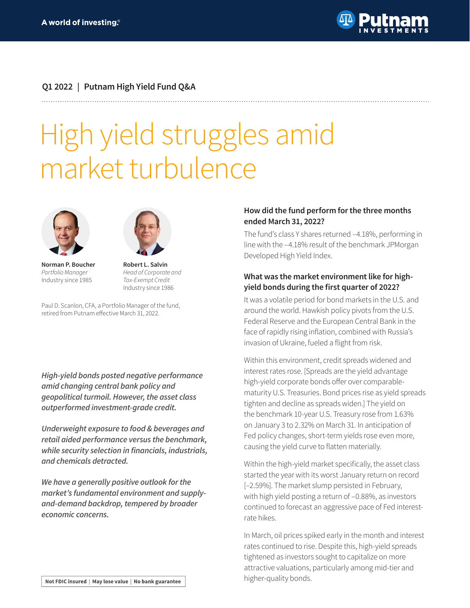

## **Q1 2022 | Putnam High Yield Fund Q&A**

# High yield struggles amid market turbulence



**Norman P. Boucher** *Portfolio Manager* Industry since 1985



**Robert L. Salvin** *Head of Corporate and Tax-Exempt Credit* Industry since 1986

Paul D. Scanlon, CFA, a Portfolio Manager of the fund, retired from Putnam effective March 31, 2022.

*High-yield bonds posted negative performance amid changing central bank policy and geopolitical turmoil. However, the asset class outperformed investment-grade credit.*

*Underweight exposure to food & beverages and retail aided performance versus the benchmark,*  **while security selection in financials, industrials,**  *and chemicals detracted.*

*We have a generally positive outlook for the market's fundamental environment and supplyand-demand backdrop, tempered by broader economic concerns.*

#### **How did the fund perform for the three months ended March 31, 2022?**

The fund's class Y shares returned –4.18%, performing in line with the –4.18% result of the benchmark JPMorgan Developed High Yield Index.

## **What was the market environment like for highyield bonds during the first quarter of 2022?**

It was a volatile period for bond markets in the U.S. and around the world. Hawkish policy pivots from the U.S. Federal Reserve and the European Central Bank in the face of rapidly rising inflation, combined with Russia's invasion of Ukraine, fueled a flight from risk.

Within this environment, credit spreads widened and interest rates rose. [Spreads are the yield advantage high-yield corporate bonds offer over comparablematurity U.S. Treasuries. Bond prices rise as yield spreads tighten and decline as spreads widen.] The yield on the benchmark 10-year U.S. Treasury rose from 1.63% on January 3 to 2.32% on March 31. In anticipation of Fed policy changes, short-term yields rose even more, causing the yield curve to flatten materially.

Within the high-yield market specifically, the asset class started the year with its worst January return on record [–2.59%]. The market slump persisted in February, with high yield posting a return of –0.88%, as investors continued to forecast an aggressive pace of Fed interestrate hikes.

In March, oil prices spiked early in the month and interest rates continued to rise. Despite this, high-yield spreads tightened as investors sought to capitalize on more attractive valuations, particularly among mid-tier and higher-quality bonds.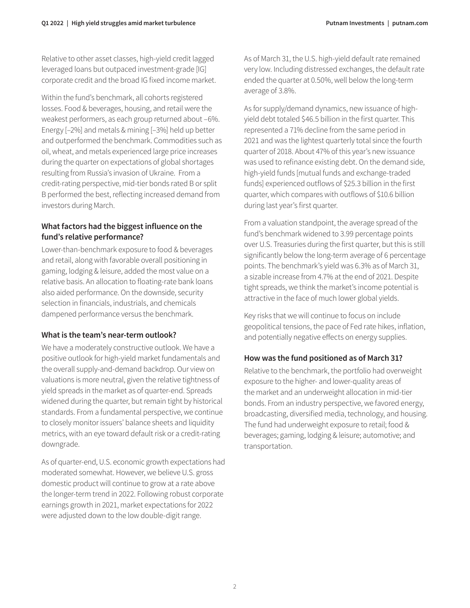Relative to other asset classes, high-yield credit lagged leveraged loans but outpaced investment-grade [IG] corporate credit and the broad IG fixed income market.

Within the fund's benchmark, all cohorts registered losses. Food & beverages, housing, and retail were the weakest performers, as each group returned about –6%. Energy [–2%] and metals & mining [–3%] held up better and outperformed the benchmark. Commodities such as oil, wheat, and metals experienced large price increases during the quarter on expectations of global shortages resulting from Russia's invasion of Ukraine. From a credit-rating perspective, mid-tier bonds rated B or split B performed the best, reflecting increased demand from investors during March.

## **What factors had the biggest influence on the fund's relative performance?**

Lower-than-benchmark exposure to food & beverages and retail, along with favorable overall positioning in gaming, lodging & leisure, added the most value on a relative basis. An allocation to floating-rate bank loans also aided performance. On the downside, security selection in financials, industrials, and chemicals dampened performance versus the benchmark.

## **What is the team's near-term outlook?**

We have a moderately constructive outlook. We have a positive outlook for high-yield market fundamentals and the overall supply-and-demand backdrop. Our view on valuations is more neutral, given the relative tightness of yield spreads in the market as of quarter-end. Spreads widened during the quarter, but remain tight by historical standards. From a fundamental perspective, we continue to closely monitor issuers' balance sheets and liquidity metrics, with an eye toward default risk or a credit-rating downgrade.

As of quarter-end, U.S. economic growth expectations had moderated somewhat. However, we believe U.S. gross domestic product will continue to grow at a rate above the longer-term trend in 2022. Following robust corporate earnings growth in 2021, market expectations for 2022 were adjusted down to the low double-digit range.

As of March 31, the U.S. high-yield default rate remained very low. Including distressed exchanges, the default rate ended the quarter at 0.50%, well below the long-term average of 3.8%.

As for supply/demand dynamics, new issuance of highyield debt totaled \$46.5 billion in the first quarter. This represented a 71% decline from the same period in 2021 and was the lightest quarterly total since the fourth quarter of 2018. About 47% of this year's new issuance was used to refinance existing debt. On the demand side, high-yield funds [mutual funds and exchange-traded funds] experienced outflows of \$25.3 billion in the first quarter, which compares with outflows of \$10.6 billion during last year's first quarter.

From a valuation standpoint, the average spread of the fund's benchmark widened to 3.99 percentage points over U.S. Treasuries during the first quarter, but this is still significantly below the long-term average of 6 percentage points. The benchmark's yield was 6.3% as of March 31, a sizable increase from 4.7% at the end of 2021. Despite tight spreads, we think the market's income potential is attractive in the face of much lower global yields.

Key risks that we will continue to focus on include geopolitical tensions, the pace of Fed rate hikes, inflation, and potentially negative effects on energy supplies.

## **How was the fund positioned as of March 31?**

Relative to the benchmark, the portfolio had overweight exposure to the higher- and lower-quality areas of the market and an underweight allocation in mid-tier bonds. From an industry perspective, we favored energy, broadcasting, diversified media, technology, and housing. The fund had underweight exposure to retail; food & beverages; gaming, lodging & leisure; automotive; and transportation.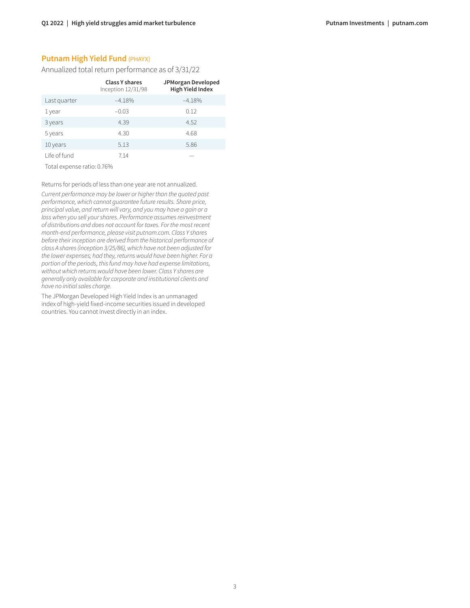## **Putnam High Yield Fund (PHAYX)**

Annualized total return performance as of 3/31/22

|              | <b>Class Y shares</b><br>Inception 12/31/98 | JPMorgan Developed<br><b>High Yield Index</b> |
|--------------|---------------------------------------------|-----------------------------------------------|
| Last quarter | $-4.18%$                                    | $-4.18%$                                      |
| 1 year       | $-0.03$                                     | 0.12                                          |
| 3 years      | 4.39                                        | 4.52                                          |
| 5 years      | 4.30                                        | 4.68                                          |
| 10 years     | 5.13                                        | 5.86                                          |
| Life of fund | 7.14                                        |                                               |

Total expense ratio: 0.76%

Returns for periods of less than one year are not annualized.

*Current performance may be lower or higher than the quoted past performance, which cannot guarantee future results. Share price, principal value, and return will vary, and you may have a gain or a loss when you sell your shares. Performance assumes reinvestment of distributions and does not account for taxes. For the most recent month-end performance, please visit [putnam.com.](https://www.putnam.com?ref=TL007.pdf) Class Y shares before their inception are derived from the historical performance of class A shares (inception 3/25/86), which have not been adjusted for the lower expenses; had they, returns would have been higher. For a portion of the periods, this fund may have had expense limitations, without which returns would have been lower. Class Y shares are generally only available for corporate and institutional clients and have no initial sales charge.* 

The JPMorgan Developed High Yield Index is an unmanaged index of high-yield fixed-income securities issued in developed countries. You cannot invest directly in an index.